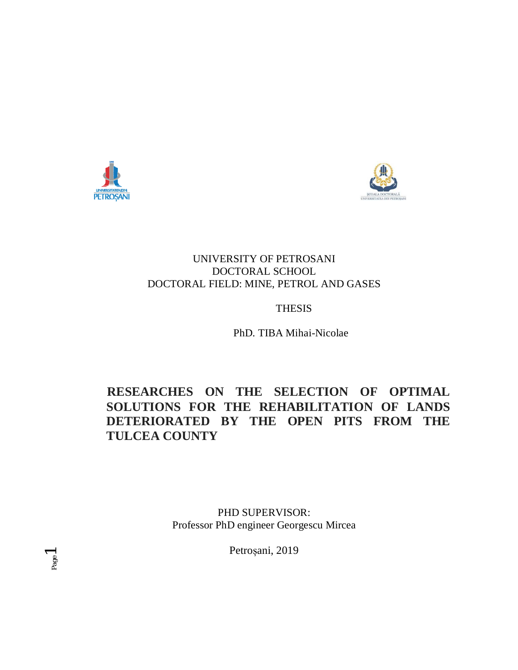



### UNIVERSITY OF PETROSANI DOCTORAL SCHOOL DOCTORAL FIELD: MINE, PETROL AND GASES

## THESIS

PhD. TIBA Mihai-Nicolae

# **RESEARCHES ON THE SELECTION OF OPTIMAL SOLUTIONS FOR THE REHABILITATION OF LANDS DETERIORATED BY THE OPEN PITS FROM THE TULCEA COUNTY**

PHD SUPERVISOR: Professor PhD engineer Georgescu Mircea

Petroșani, 2019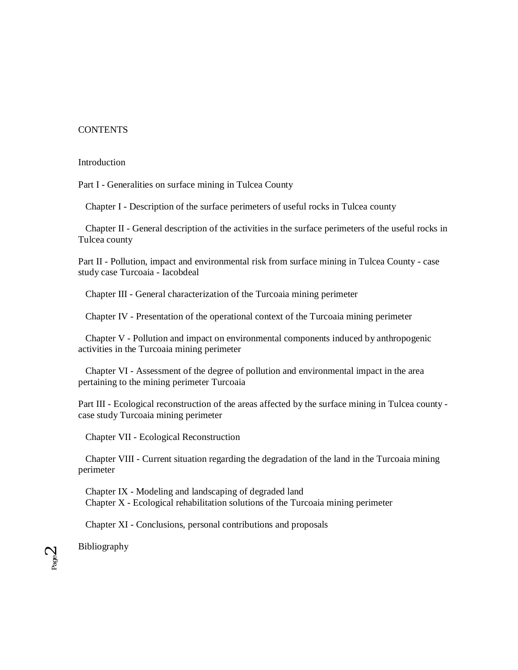### **CONTENTS**

#### Introduction

Part I - Generalities on surface mining in Tulcea County

Chapter I - Description of the surface perimeters of useful rocks in Tulcea county

 Chapter II - General description of the activities in the surface perimeters of the useful rocks in Tulcea county

Part II - Pollution, impact and environmental risk from surface mining in Tulcea County - case study case Turcoaia - Iacobdeal

Chapter III - General characterization of the Turcoaia mining perimeter

Chapter IV - Presentation of the operational context of the Turcoaia mining perimeter

 Chapter V - Pollution and impact on environmental components induced by anthropogenic activities in the Turcoaia mining perimeter

 Chapter VI - Assessment of the degree of pollution and environmental impact in the area pertaining to the mining perimeter Turcoaia

Part III - Ecological reconstruction of the areas affected by the surface mining in Tulcea county case study Turcoaia mining perimeter

Chapter VII - Ecological Reconstruction

 Chapter VIII - Current situation regarding the degradation of the land in the Turcoaia mining perimeter

 Chapter IX - Modeling and landscaping of degraded land Chapter X - Ecological rehabilitation solutions of the Turcoaia mining perimeter

Chapter XI - Conclusions, personal contributions and proposals

Bibliography

Page  $\mathrel{\sim}$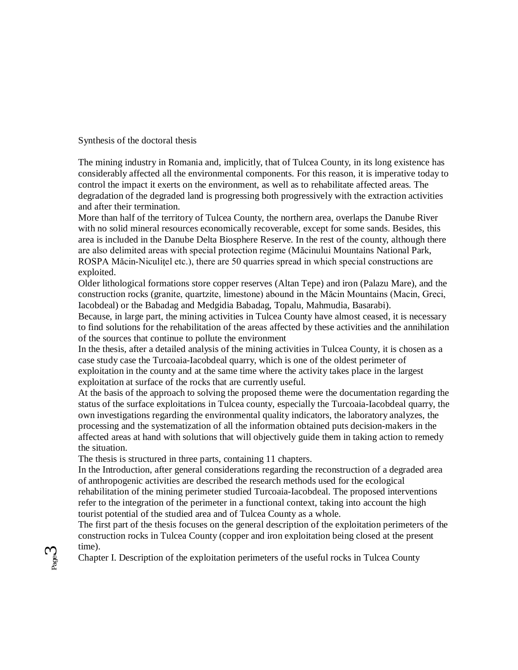Synthesis of the doctoral thesis

The mining industry in Romania and, implicitly, that of Tulcea County, in its long existence has considerably affected all the environmental components. For this reason, it is imperative today to control the impact it exerts on the environment, as well as to rehabilitate affected areas. The degradation of the degraded land is progressing both progressively with the extraction activities and after their termination.

More than half of the territory of Tulcea County, the northern area, overlaps the Danube River with no solid mineral resources economically recoverable, except for some sands. Besides, this area is included in the Danube Delta Biosphere Reserve. In the rest of the county, although there are also delimited areas with special protection regime (Măcinului Mountains National Park, ROSPA Măcin-Niculitel etc.), there are 50 quarries spread in which special constructions are exploited.

Older lithological formations store copper reserves (Altan Tepe) and iron (Palazu Mare), and the construction rocks (granite, quartzite, limestone) abound in the Măcin Mountains (Macin, Greci, Iacobdeal) or the Babadag and Medgidia Babadag, Topalu, Mahmudia, Basarabi).

Because, in large part, the mining activities in Tulcea County have almost ceased, it is necessary to find solutions for the rehabilitation of the areas affected by these activities and the annihilation of the sources that continue to pollute the environment

In the thesis, after a detailed analysis of the mining activities in Tulcea County, it is chosen as a case study case the Turcoaia-Iacobdeal quarry, which is one of the oldest perimeter of exploitation in the county and at the same time where the activity takes place in the largest exploitation at surface of the rocks that are currently useful.

At the basis of the approach to solving the proposed theme were the documentation regarding the status of the surface exploitations in Tulcea county, especially the Turcoaia-Iacobdeal quarry, the own investigations regarding the environmental quality indicators, the laboratory analyzes, the processing and the systematization of all the information obtained puts decision-makers in the affected areas at hand with solutions that will objectively guide them in taking action to remedy the situation.

The thesis is structured in three parts, containing 11 chapters.

In the Introduction, after general considerations regarding the reconstruction of a degraded area of anthropogenic activities are described the research methods used for the ecological rehabilitation of the mining perimeter studied Turcoaia-Iacobdeal. The proposed interventions refer to the integration of the perimeter in a functional context, taking into account the high tourist potential of the studied area and of Tulcea County as a whole.

The first part of the thesis focuses on the general description of the exploitation perimeters of the construction rocks in Tulcea County (copper and iron exploitation being closed at the present time).

Chapter I. Description of the exploitation perimeters of the useful rocks in Tulcea County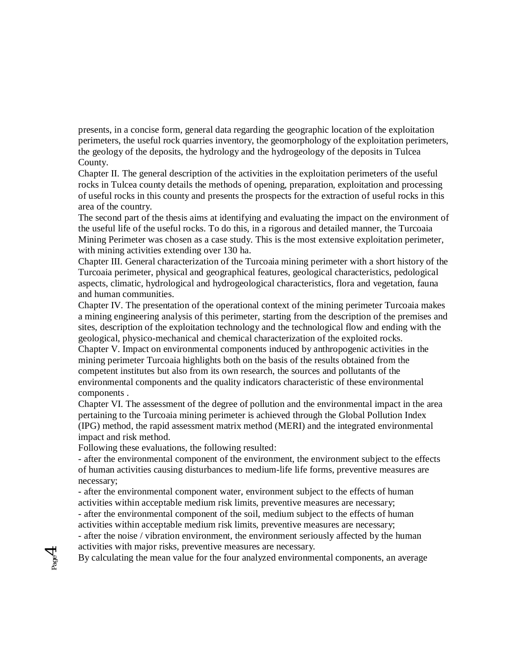presents, in a concise form, general data regarding the geographic location of the exploitation perimeters, the useful rock quarries inventory, the geomorphology of the exploitation perimeters, the geology of the deposits, the hydrology and the hydrogeology of the deposits in Tulcea County.

Chapter II. The general description of the activities in the exploitation perimeters of the useful rocks in Tulcea county details the methods of opening, preparation, exploitation and processing of useful rocks in this county and presents the prospects for the extraction of useful rocks in this area of the country.

The second part of the thesis aims at identifying and evaluating the impact on the environment of the useful life of the useful rocks. To do this, in a rigorous and detailed manner, the Turcoaia Mining Perimeter was chosen as a case study. This is the most extensive exploitation perimeter, with mining activities extending over 130 ha.

Chapter III. General characterization of the Turcoaia mining perimeter with a short history of the Turcoaia perimeter, physical and geographical features, geological characteristics, pedological aspects, climatic, hydrological and hydrogeological characteristics, flora and vegetation, fauna and human communities.

Chapter IV. The presentation of the operational context of the mining perimeter Turcoaia makes a mining engineering analysis of this perimeter, starting from the description of the premises and sites, description of the exploitation technology and the technological flow and ending with the geological, physico-mechanical and chemical characterization of the exploited rocks. Chapter V. Impact on environmental components induced by anthropogenic activities in the mining perimeter Turcoaia highlights both on the basis of the results obtained from the competent institutes but also from its own research, the sources and pollutants of the environmental components and the quality indicators characteristic of these environmental components .

Chapter VI. The assessment of the degree of pollution and the environmental impact in the area pertaining to the Turcoaia mining perimeter is achieved through the Global Pollution Index (IPG) method, the rapid assessment matrix method (MERI) and the integrated environmental impact and risk method.

Following these evaluations, the following resulted:

Page 4

- after the environmental component of the environment, the environment subject to the effects of human activities causing disturbances to medium-life life forms, preventive measures are necessary;

- after the environmental component water, environment subject to the effects of human activities within acceptable medium risk limits, preventive measures are necessary;

- after the environmental component of the soil, medium subject to the effects of human activities within acceptable medium risk limits, preventive measures are necessary;

- after the noise / vibration environment, the environment seriously affected by the human activities with major risks, preventive measures are necessary.

By calculating the mean value for the four analyzed environmental components, an average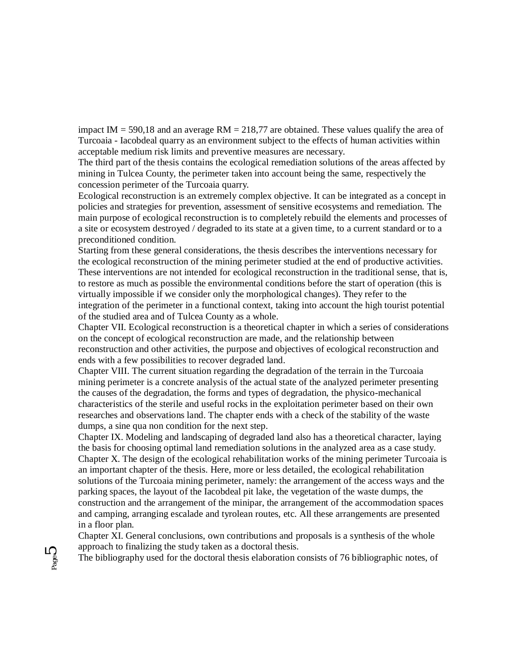impact IM =  $590,18$  and an average RM =  $218,77$  are obtained. These values qualify the area of Turcoaia - Iacobdeal quarry as an environment subject to the effects of human activities within acceptable medium risk limits and preventive measures are necessary.

The third part of the thesis contains the ecological remediation solutions of the areas affected by mining in Tulcea County, the perimeter taken into account being the same, respectively the concession perimeter of the Turcoaia quarry.

Ecological reconstruction is an extremely complex objective. It can be integrated as a concept in policies and strategies for prevention, assessment of sensitive ecosystems and remediation. The main purpose of ecological reconstruction is to completely rebuild the elements and processes of a site or ecosystem destroyed / degraded to its state at a given time, to a current standard or to a preconditioned condition.

Starting from these general considerations, the thesis describes the interventions necessary for the ecological reconstruction of the mining perimeter studied at the end of productive activities. These interventions are not intended for ecological reconstruction in the traditional sense, that is, to restore as much as possible the environmental conditions before the start of operation (this is virtually impossible if we consider only the morphological changes). They refer to the integration of the perimeter in a functional context, taking into account the high tourist potential of the studied area and of Tulcea County as a whole.

Chapter VII. Ecological reconstruction is a theoretical chapter in which a series of considerations on the concept of ecological reconstruction are made, and the relationship between reconstruction and other activities, the purpose and objectives of ecological reconstruction and ends with a few possibilities to recover degraded land.

Chapter VIII. The current situation regarding the degradation of the terrain in the Turcoaia mining perimeter is a concrete analysis of the actual state of the analyzed perimeter presenting the causes of the degradation, the forms and types of degradation, the physico-mechanical characteristics of the sterile and useful rocks in the exploitation perimeter based on their own researches and observations land. The chapter ends with a check of the stability of the waste dumps, a sine qua non condition for the next step.

Chapter IX. Modeling and landscaping of degraded land also has a theoretical character, laying the basis for choosing optimal land remediation solutions in the analyzed area as a case study. Chapter X. The design of the ecological rehabilitation works of the mining perimeter Turcoaia is an important chapter of the thesis. Here, more or less detailed, the ecological rehabilitation solutions of the Turcoaia mining perimeter, namely: the arrangement of the access ways and the parking spaces, the layout of the Iacobdeal pit lake, the vegetation of the waste dumps, the construction and the arrangement of the minipar, the arrangement of the accommodation spaces and camping, arranging escalade and tyrolean routes, etc. All these arrangements are presented in a floor plan.

Chapter XI. General conclusions, own contributions and proposals is a synthesis of the whole approach to finalizing the study taken as a doctoral thesis.

The bibliography used for the doctoral thesis elaboration consists of 76 bibliographic notes, of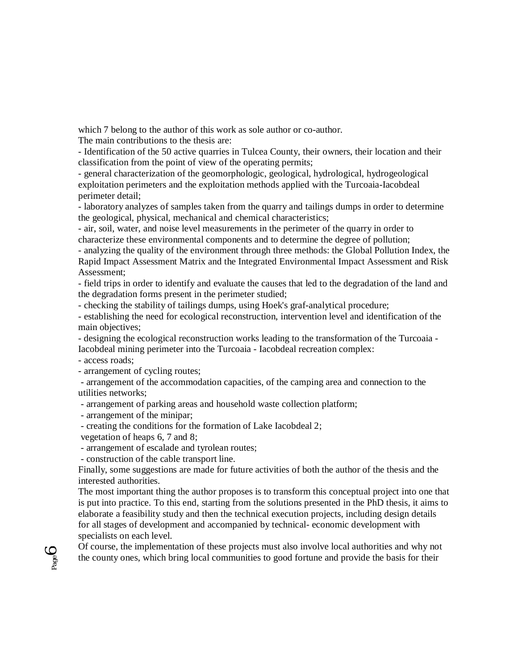which 7 belong to the author of this work as sole author or co-author.

The main contributions to the thesis are:

- Identification of the 50 active quarries in Tulcea County, their owners, their location and their classification from the point of view of the operating permits;

- general characterization of the geomorphologic, geological, hydrological, hydrogeological exploitation perimeters and the exploitation methods applied with the Turcoaia-Iacobdeal perimeter detail;

- laboratory analyzes of samples taken from the quarry and tailings dumps in order to determine the geological, physical, mechanical and chemical characteristics;

- air, soil, water, and noise level measurements in the perimeter of the quarry in order to characterize these environmental components and to determine the degree of pollution;

- analyzing the quality of the environment through three methods: the Global Pollution Index, the Rapid Impact Assessment Matrix and the Integrated Environmental Impact Assessment and Risk Assessment;

- field trips in order to identify and evaluate the causes that led to the degradation of the land and the degradation forms present in the perimeter studied;

- checking the stability of tailings dumps, using Hoek's graf-analytical procedure;

- establishing the need for ecological reconstruction, intervention level and identification of the main objectives;

- designing the ecological reconstruction works leading to the transformation of the Turcoaia - Iacobdeal mining perimeter into the Turcoaia - Iacobdeal recreation complex:

- access roads;

Page  $\overline{\mathcal{O}}$ 

- arrangement of cycling routes;

- arrangement of the accommodation capacities, of the camping area and connection to the utilities networks;

- arrangement of parking areas and household waste collection platform;

- arrangement of the minipar;

- creating the conditions for the formation of Lake Iacobdeal 2;

vegetation of heaps 6, 7 and 8;

- arrangement of escalade and tyrolean routes;

- construction of the cable transport line.

Finally, some suggestions are made for future activities of both the author of the thesis and the interested authorities.

The most important thing the author proposes is to transform this conceptual project into one that is put into practice. To this end, starting from the solutions presented in the PhD thesis, it aims to elaborate a feasibility study and then the technical execution projects, including design details for all stages of development and accompanied by technical- economic development with specialists on each level.

Of course, the implementation of these projects must also involve local authorities and why not the county ones, which bring local communities to good fortune and provide the basis for their